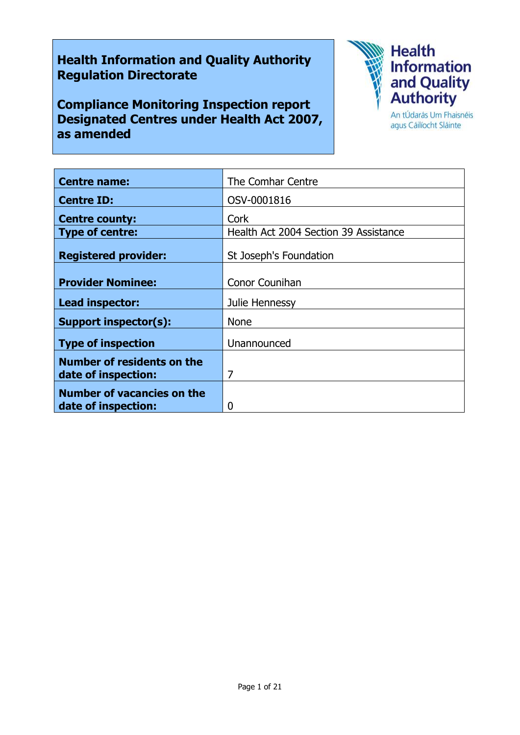# **Health Information and Quality Authority Regulation Directorate**

**Compliance Monitoring Inspection report Designated Centres under Health Act 2007, as amended**



agus Cáilíocht Sláinte

| <b>Centre name:</b>               | The Comhar Centre                     |
|-----------------------------------|---------------------------------------|
| <b>Centre ID:</b>                 | OSV-0001816                           |
| <b>Centre county:</b>             | Cork                                  |
| <b>Type of centre:</b>            | Health Act 2004 Section 39 Assistance |
| <b>Registered provider:</b>       | St Joseph's Foundation                |
| <b>Provider Nominee:</b>          | <b>Conor Counihan</b>                 |
| Lead inspector:                   | Julie Hennessy                        |
| <b>Support inspector(s):</b>      | <b>None</b>                           |
| <b>Type of inspection</b>         | Unannounced                           |
| <b>Number of residents on the</b> |                                       |
| date of inspection:               | 7                                     |
| <b>Number of vacancies on the</b> |                                       |
| date of inspection:               | 0                                     |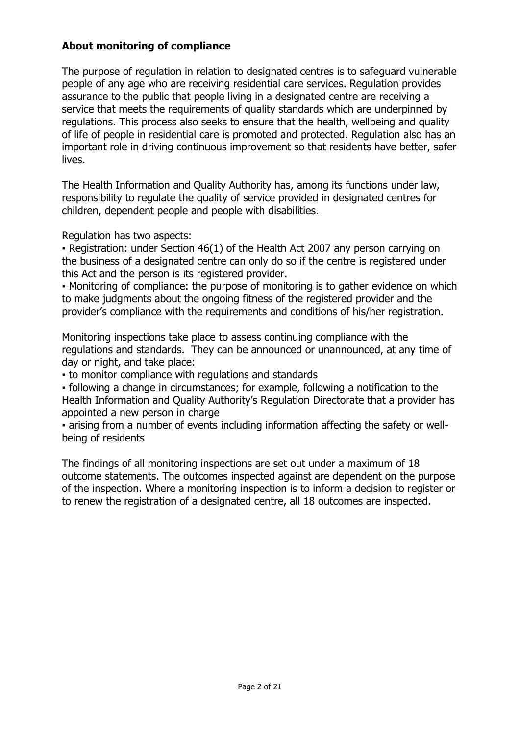# **About monitoring of compliance**

The purpose of regulation in relation to designated centres is to safeguard vulnerable people of any age who are receiving residential care services. Regulation provides assurance to the public that people living in a designated centre are receiving a service that meets the requirements of quality standards which are underpinned by regulations. This process also seeks to ensure that the health, wellbeing and quality of life of people in residential care is promoted and protected. Regulation also has an important role in driving continuous improvement so that residents have better, safer lives.

The Health Information and Quality Authority has, among its functions under law, responsibility to regulate the quality of service provided in designated centres for children, dependent people and people with disabilities.

Regulation has two aspects:

• Registration: under Section 46(1) of the Health Act 2007 any person carrying on the business of a designated centre can only do so if the centre is registered under this Act and the person is its registered provider.

▪ Monitoring of compliance: the purpose of monitoring is to gather evidence on which to make judgments about the ongoing fitness of the registered provider and the provider's compliance with the requirements and conditions of his/her registration.

Monitoring inspections take place to assess continuing compliance with the regulations and standards. They can be announced or unannounced, at any time of day or night, and take place:

▪ to monitor compliance with regulations and standards

▪ following a change in circumstances; for example, following a notification to the Health Information and Quality Authority's Regulation Directorate that a provider has appointed a new person in charge

▪ arising from a number of events including information affecting the safety or wellbeing of residents

The findings of all monitoring inspections are set out under a maximum of 18 outcome statements. The outcomes inspected against are dependent on the purpose of the inspection. Where a monitoring inspection is to inform a decision to register or to renew the registration of a designated centre, all 18 outcomes are inspected.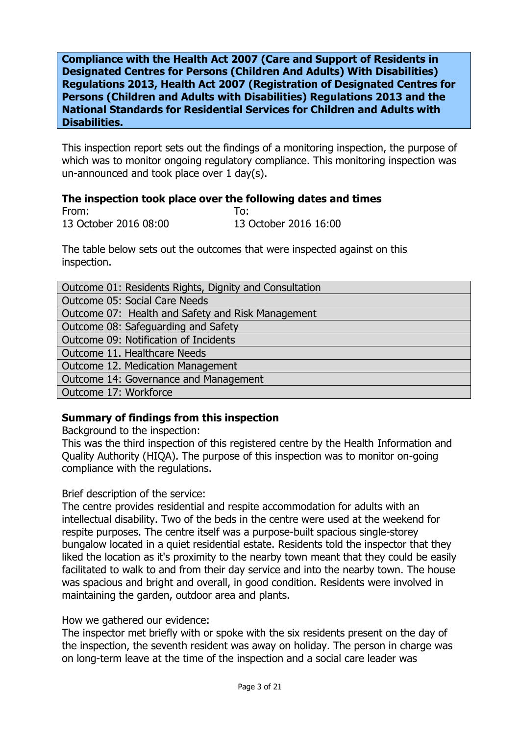**Compliance with the Health Act 2007 (Care and Support of Residents in Designated Centres for Persons (Children And Adults) With Disabilities) Regulations 2013, Health Act 2007 (Registration of Designated Centres for Persons (Children and Adults with Disabilities) Regulations 2013 and the National Standards for Residential Services for Children and Adults with Disabilities.**

This inspection report sets out the findings of a monitoring inspection, the purpose of which was to monitor ongoing regulatory compliance. This monitoring inspection was un-announced and took place over 1 day(s).

#### **The inspection took place over the following dates and times**

From: To: 13 October 2016 08:00 13 October 2016 16:00

The table below sets out the outcomes that were inspected against on this inspection.

| Outcome 01: Residents Rights, Dignity and Consultation |
|--------------------------------------------------------|
| Outcome 05: Social Care Needs                          |
| Outcome 07: Health and Safety and Risk Management      |
| Outcome 08: Safeguarding and Safety                    |
| Outcome 09: Notification of Incidents                  |
| Outcome 11. Healthcare Needs                           |
| Outcome 12. Medication Management                      |
| Outcome 14: Governance and Management                  |
| Outcome 17: Workforce                                  |

## **Summary of findings from this inspection**

Background to the inspection:

This was the third inspection of this registered centre by the Health Information and Quality Authority (HIQA). The purpose of this inspection was to monitor on-going compliance with the regulations.

#### Brief description of the service:

The centre provides residential and respite accommodation for adults with an intellectual disability. Two of the beds in the centre were used at the weekend for respite purposes. The centre itself was a purpose-built spacious single-storey bungalow located in a quiet residential estate. Residents told the inspector that they liked the location as it's proximity to the nearby town meant that they could be easily facilitated to walk to and from their day service and into the nearby town. The house was spacious and bright and overall, in good condition. Residents were involved in maintaining the garden, outdoor area and plants.

How we gathered our evidence:

The inspector met briefly with or spoke with the six residents present on the day of the inspection, the seventh resident was away on holiday. The person in charge was on long-term leave at the time of the inspection and a social care leader was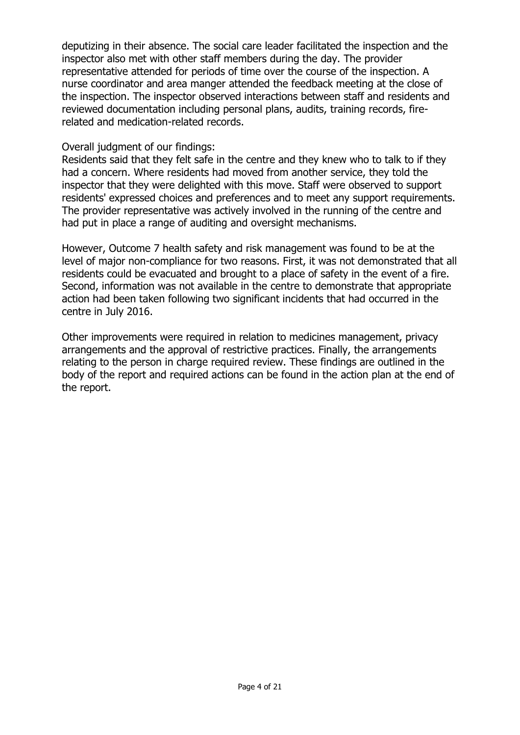deputizing in their absence. The social care leader facilitated the inspection and the inspector also met with other staff members during the day. The provider representative attended for periods of time over the course of the inspection. A nurse coordinator and area manger attended the feedback meeting at the close of the inspection. The inspector observed interactions between staff and residents and reviewed documentation including personal plans, audits, training records, firerelated and medication-related records.

#### Overall judgment of our findings:

Residents said that they felt safe in the centre and they knew who to talk to if they had a concern. Where residents had moved from another service, they told the inspector that they were delighted with this move. Staff were observed to support residents' expressed choices and preferences and to meet any support requirements. The provider representative was actively involved in the running of the centre and had put in place a range of auditing and oversight mechanisms.

However, Outcome 7 health safety and risk management was found to be at the level of major non-compliance for two reasons. First, it was not demonstrated that all residents could be evacuated and brought to a place of safety in the event of a fire. Second, information was not available in the centre to demonstrate that appropriate action had been taken following two significant incidents that had occurred in the centre in July 2016.

Other improvements were required in relation to medicines management, privacy arrangements and the approval of restrictive practices. Finally, the arrangements relating to the person in charge required review. These findings are outlined in the body of the report and required actions can be found in the action plan at the end of the report.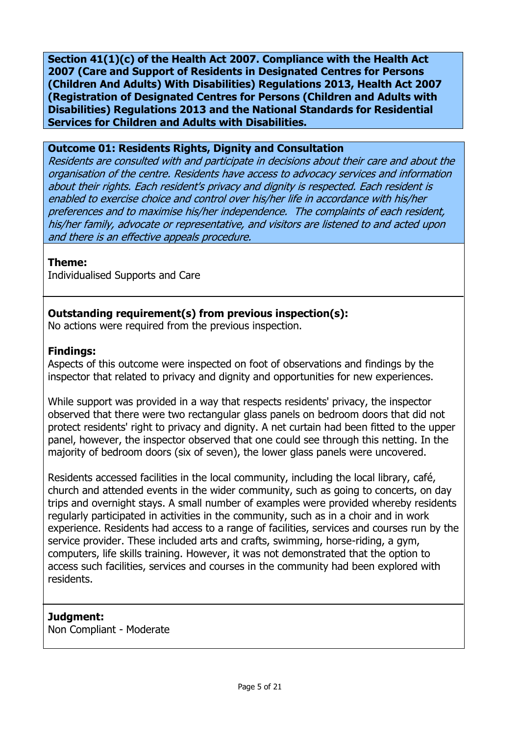**Section 41(1)(c) of the Health Act 2007. Compliance with the Health Act 2007 (Care and Support of Residents in Designated Centres for Persons (Children And Adults) With Disabilities) Regulations 2013, Health Act 2007 (Registration of Designated Centres for Persons (Children and Adults with Disabilities) Regulations 2013 and the National Standards for Residential Services for Children and Adults with Disabilities.**

#### **Outcome 01: Residents Rights, Dignity and Consultation**

Residents are consulted with and participate in decisions about their care and about the organisation of the centre. Residents have access to advocacy services and information about their rights. Each resident's privacy and dignity is respected. Each resident is enabled to exercise choice and control over his/her life in accordance with his/her preferences and to maximise his/her independence. The complaints of each resident, his/her family, advocate or representative, and visitors are listened to and acted upon and there is an effective appeals procedure.

#### **Theme:**

Individualised Supports and Care

# **Outstanding requirement(s) from previous inspection(s):**

No actions were required from the previous inspection.

#### **Findings:**

Aspects of this outcome were inspected on foot of observations and findings by the inspector that related to privacy and dignity and opportunities for new experiences.

While support was provided in a way that respects residents' privacy, the inspector observed that there were two rectangular glass panels on bedroom doors that did not protect residents' right to privacy and dignity. A net curtain had been fitted to the upper panel, however, the inspector observed that one could see through this netting. In the majority of bedroom doors (six of seven), the lower glass panels were uncovered.

Residents accessed facilities in the local community, including the local library, café, church and attended events in the wider community, such as going to concerts, on day trips and overnight stays. A small number of examples were provided whereby residents regularly participated in activities in the community, such as in a choir and in work experience. Residents had access to a range of facilities, services and courses run by the service provider. These included arts and crafts, swimming, horse-riding, a gym, computers, life skills training. However, it was not demonstrated that the option to access such facilities, services and courses in the community had been explored with residents.

## **Judgment:**

Non Compliant - Moderate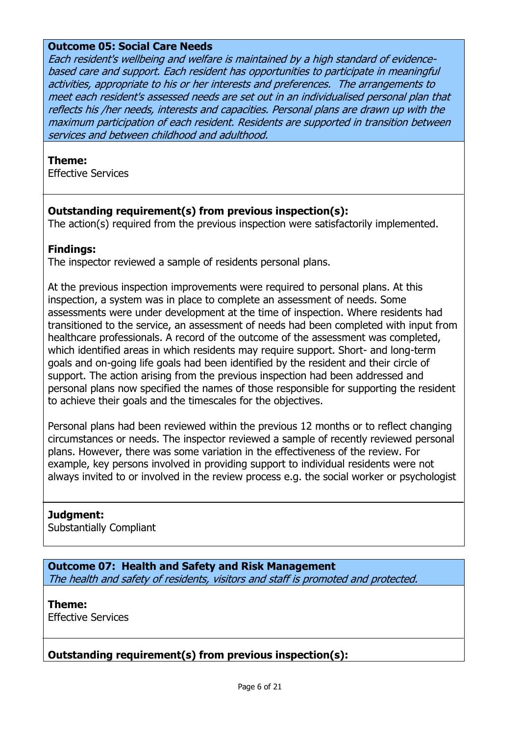#### **Outcome 05: Social Care Needs**

Each resident's wellbeing and welfare is maintained by a high standard of evidencebased care and support. Each resident has opportunities to participate in meaningful activities, appropriate to his or her interests and preferences. The arrangements to meet each resident's assessed needs are set out in an individualised personal plan that reflects his /her needs, interests and capacities. Personal plans are drawn up with the maximum participation of each resident. Residents are supported in transition between services and between childhood and adulthood.

#### **Theme:**

Effective Services

# **Outstanding requirement(s) from previous inspection(s):**

The action(s) required from the previous inspection were satisfactorily implemented.

#### **Findings:**

The inspector reviewed a sample of residents personal plans.

At the previous inspection improvements were required to personal plans. At this inspection, a system was in place to complete an assessment of needs. Some assessments were under development at the time of inspection. Where residents had transitioned to the service, an assessment of needs had been completed with input from healthcare professionals. A record of the outcome of the assessment was completed, which identified areas in which residents may require support. Short- and long-term goals and on-going life goals had been identified by the resident and their circle of support. The action arising from the previous inspection had been addressed and personal plans now specified the names of those responsible for supporting the resident to achieve their goals and the timescales for the objectives.

Personal plans had been reviewed within the previous 12 months or to reflect changing circumstances or needs. The inspector reviewed a sample of recently reviewed personal plans. However, there was some variation in the effectiveness of the review. For example, key persons involved in providing support to individual residents were not always invited to or involved in the review process e.g. the social worker or psychologist

## **Judgment:**

Substantially Compliant

**Outcome 07: Health and Safety and Risk Management** The health and safety of residents, visitors and staff is promoted and protected.

**Theme:**  Effective Services

# **Outstanding requirement(s) from previous inspection(s):**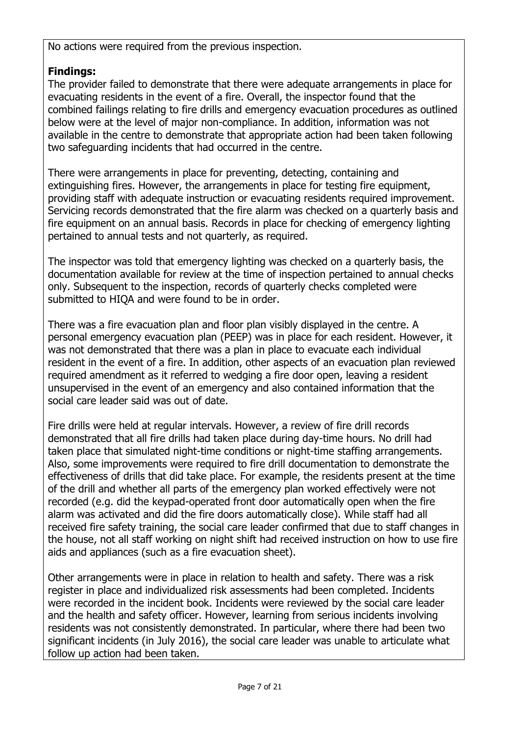No actions were required from the previous inspection.

# **Findings:**

The provider failed to demonstrate that there were adequate arrangements in place for evacuating residents in the event of a fire. Overall, the inspector found that the combined failings relating to fire drills and emergency evacuation procedures as outlined below were at the level of major non-compliance. In addition, information was not available in the centre to demonstrate that appropriate action had been taken following two safeguarding incidents that had occurred in the centre.

There were arrangements in place for preventing, detecting, containing and extinguishing fires. However, the arrangements in place for testing fire equipment, providing staff with adequate instruction or evacuating residents required improvement. Servicing records demonstrated that the fire alarm was checked on a quarterly basis and fire equipment on an annual basis. Records in place for checking of emergency lighting pertained to annual tests and not quarterly, as required.

The inspector was told that emergency lighting was checked on a quarterly basis, the documentation available for review at the time of inspection pertained to annual checks only. Subsequent to the inspection, records of quarterly checks completed were submitted to HIQA and were found to be in order.

There was a fire evacuation plan and floor plan visibly displayed in the centre. A personal emergency evacuation plan (PEEP) was in place for each resident. However, it was not demonstrated that there was a plan in place to evacuate each individual resident in the event of a fire. In addition, other aspects of an evacuation plan reviewed required amendment as it referred to wedging a fire door open, leaving a resident unsupervised in the event of an emergency and also contained information that the social care leader said was out of date.

Fire drills were held at regular intervals. However, a review of fire drill records demonstrated that all fire drills had taken place during day-time hours. No drill had taken place that simulated night-time conditions or night-time staffing arrangements. Also, some improvements were required to fire drill documentation to demonstrate the effectiveness of drills that did take place. For example, the residents present at the time of the drill and whether all parts of the emergency plan worked effectively were not recorded (e.g. did the keypad-operated front door automatically open when the fire alarm was activated and did the fire doors automatically close). While staff had all received fire safety training, the social care leader confirmed that due to staff changes in the house, not all staff working on night shift had received instruction on how to use fire aids and appliances (such as a fire evacuation sheet).

Other arrangements were in place in relation to health and safety. There was a risk register in place and individualized risk assessments had been completed. Incidents were recorded in the incident book. Incidents were reviewed by the social care leader and the health and safety officer. However, learning from serious incidents involving residents was not consistently demonstrated. In particular, where there had been two significant incidents (in July 2016), the social care leader was unable to articulate what follow up action had been taken.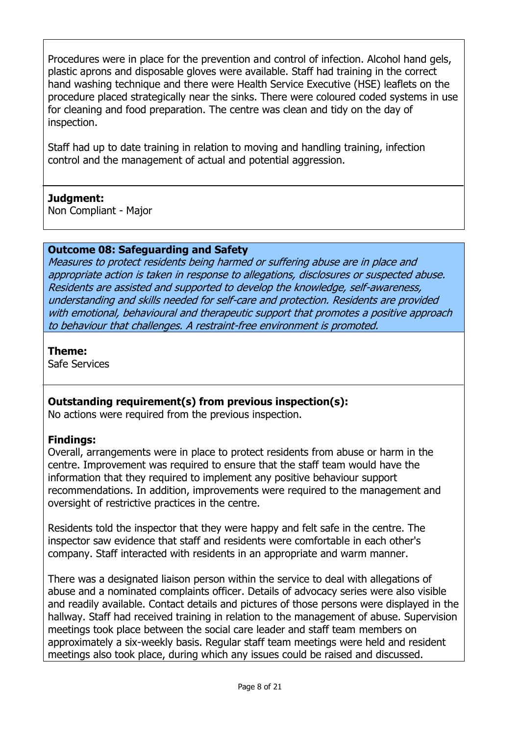Procedures were in place for the prevention and control of infection. Alcohol hand gels, plastic aprons and disposable gloves were available. Staff had training in the correct hand washing technique and there were Health Service Executive (HSE) leaflets on the procedure placed strategically near the sinks. There were coloured coded systems in use for cleaning and food preparation. The centre was clean and tidy on the day of inspection.

Staff had up to date training in relation to moving and handling training, infection control and the management of actual and potential aggression.

# **Judgment:**

Non Compliant - Major

# **Outcome 08: Safeguarding and Safety**

Measures to protect residents being harmed or suffering abuse are in place and appropriate action is taken in response to allegations, disclosures or suspected abuse. Residents are assisted and supported to develop the knowledge, self-awareness, understanding and skills needed for self-care and protection. Residents are provided with emotional, behavioural and therapeutic support that promotes a positive approach to behaviour that challenges. A restraint-free environment is promoted.

## **Theme:**

Safe Services

# **Outstanding requirement(s) from previous inspection(s):**

No actions were required from the previous inspection.

# **Findings:**

Overall, arrangements were in place to protect residents from abuse or harm in the centre. Improvement was required to ensure that the staff team would have the information that they required to implement any positive behaviour support recommendations. In addition, improvements were required to the management and oversight of restrictive practices in the centre.

Residents told the inspector that they were happy and felt safe in the centre. The inspector saw evidence that staff and residents were comfortable in each other's company. Staff interacted with residents in an appropriate and warm manner.

There was a designated liaison person within the service to deal with allegations of abuse and a nominated complaints officer. Details of advocacy series were also visible and readily available. Contact details and pictures of those persons were displayed in the hallway. Staff had received training in relation to the management of abuse. Supervision meetings took place between the social care leader and staff team members on approximately a six-weekly basis. Regular staff team meetings were held and resident meetings also took place, during which any issues could be raised and discussed.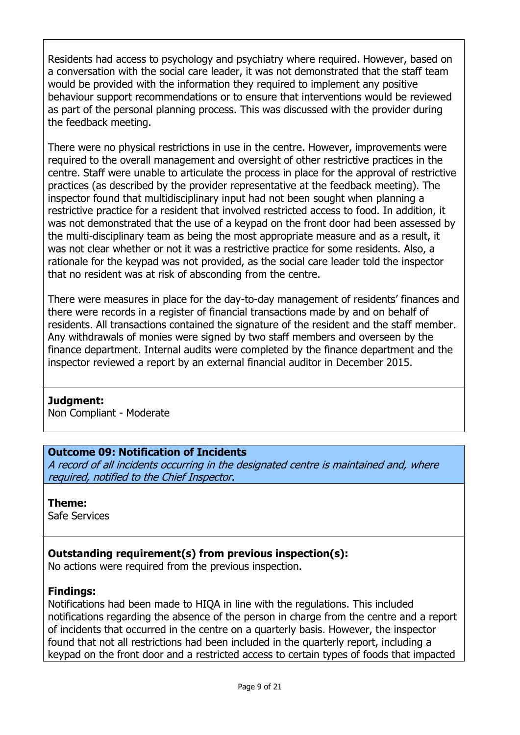Residents had access to psychology and psychiatry where required. However, based on a conversation with the social care leader, it was not demonstrated that the staff team would be provided with the information they required to implement any positive behaviour support recommendations or to ensure that interventions would be reviewed as part of the personal planning process. This was discussed with the provider during the feedback meeting.

There were no physical restrictions in use in the centre. However, improvements were required to the overall management and oversight of other restrictive practices in the centre. Staff were unable to articulate the process in place for the approval of restrictive practices (as described by the provider representative at the feedback meeting). The inspector found that multidisciplinary input had not been sought when planning a restrictive practice for a resident that involved restricted access to food. In addition, it was not demonstrated that the use of a keypad on the front door had been assessed by the multi-disciplinary team as being the most appropriate measure and as a result, it was not clear whether or not it was a restrictive practice for some residents. Also, a rationale for the keypad was not provided, as the social care leader told the inspector that no resident was at risk of absconding from the centre.

There were measures in place for the day-to-day management of residents' finances and there were records in a register of financial transactions made by and on behalf of residents. All transactions contained the signature of the resident and the staff member. Any withdrawals of monies were signed by two staff members and overseen by the finance department. Internal audits were completed by the finance department and the inspector reviewed a report by an external financial auditor in December 2015.

## **Judgment:**

Non Compliant - Moderate

# **Outcome 09: Notification of Incidents**

A record of all incidents occurring in the designated centre is maintained and, where required, notified to the Chief Inspector.

## **Theme:**

Safe Services

# **Outstanding requirement(s) from previous inspection(s):**

No actions were required from the previous inspection.

## **Findings:**

Notifications had been made to HIQA in line with the regulations. This included notifications regarding the absence of the person in charge from the centre and a report of incidents that occurred in the centre on a quarterly basis. However, the inspector found that not all restrictions had been included in the quarterly report, including a keypad on the front door and a restricted access to certain types of foods that impacted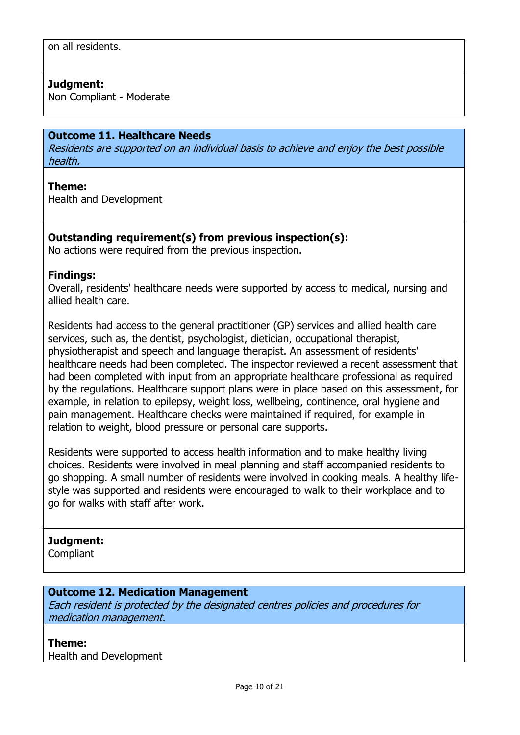## **Judgment:**

Non Compliant - Moderate

#### **Outcome 11. Healthcare Needs**

Residents are supported on an individual basis to achieve and enjoy the best possible health.

#### **Theme:**

Health and Development

# **Outstanding requirement(s) from previous inspection(s):**

No actions were required from the previous inspection.

#### **Findings:**

Overall, residents' healthcare needs were supported by access to medical, nursing and allied health care.

Residents had access to the general practitioner (GP) services and allied health care services, such as, the dentist, psychologist, dietician, occupational therapist, physiotherapist and speech and language therapist. An assessment of residents' healthcare needs had been completed. The inspector reviewed a recent assessment that had been completed with input from an appropriate healthcare professional as required by the regulations. Healthcare support plans were in place based on this assessment, for example, in relation to epilepsy, weight loss, wellbeing, continence, oral hygiene and pain management. Healthcare checks were maintained if required, for example in relation to weight, blood pressure or personal care supports.

Residents were supported to access health information and to make healthy living choices. Residents were involved in meal planning and staff accompanied residents to go shopping. A small number of residents were involved in cooking meals. A healthy lifestyle was supported and residents were encouraged to walk to their workplace and to go for walks with staff after work.

#### **Judgment:**

**Compliant** 

## **Outcome 12. Medication Management**

Each resident is protected by the designated centres policies and procedures for medication management.

## **Theme:**

Health and Development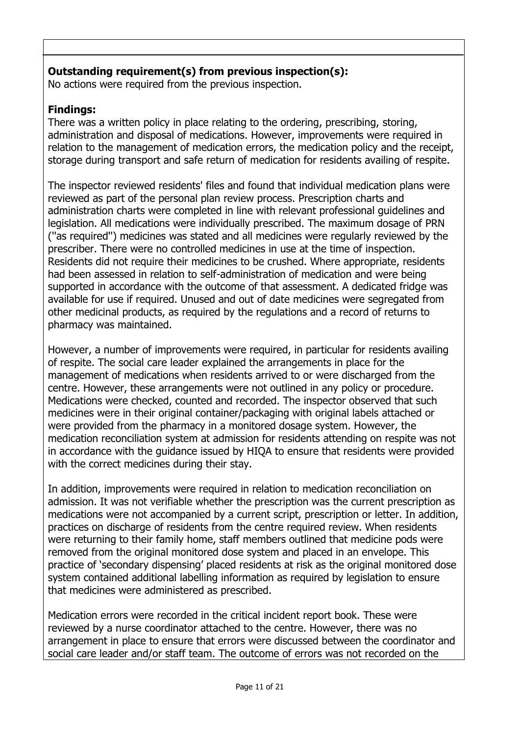# **Outstanding requirement(s) from previous inspection(s):**

No actions were required from the previous inspection.

# **Findings:**

There was a written policy in place relating to the ordering, prescribing, storing, administration and disposal of medications. However, improvements were required in relation to the management of medication errors, the medication policy and the receipt, storage during transport and safe return of medication for residents availing of respite.

The inspector reviewed residents' files and found that individual medication plans were reviewed as part of the personal plan review process. Prescription charts and administration charts were completed in line with relevant professional guidelines and legislation. All medications were individually prescribed. The maximum dosage of PRN (''as required'') medicines was stated and all medicines were regularly reviewed by the prescriber. There were no controlled medicines in use at the time of inspection. Residents did not require their medicines to be crushed. Where appropriate, residents had been assessed in relation to self-administration of medication and were being supported in accordance with the outcome of that assessment. A dedicated fridge was available for use if required. Unused and out of date medicines were segregated from other medicinal products, as required by the regulations and a record of returns to pharmacy was maintained.

However, a number of improvements were required, in particular for residents availing of respite. The social care leader explained the arrangements in place for the management of medications when residents arrived to or were discharged from the centre. However, these arrangements were not outlined in any policy or procedure. Medications were checked, counted and recorded. The inspector observed that such medicines were in their original container/packaging with original labels attached or were provided from the pharmacy in a monitored dosage system. However, the medication reconciliation system at admission for residents attending on respite was not in accordance with the guidance issued by HIQA to ensure that residents were provided with the correct medicines during their stay.

In addition, improvements were required in relation to medication reconciliation on admission. It was not verifiable whether the prescription was the current prescription as medications were not accompanied by a current script, prescription or letter. In addition, practices on discharge of residents from the centre required review. When residents were returning to their family home, staff members outlined that medicine pods were removed from the original monitored dose system and placed in an envelope. This practice of 'secondary dispensing' placed residents at risk as the original monitored dose system contained additional labelling information as required by legislation to ensure that medicines were administered as prescribed.

Medication errors were recorded in the critical incident report book. These were reviewed by a nurse coordinator attached to the centre. However, there was no arrangement in place to ensure that errors were discussed between the coordinator and social care leader and/or staff team. The outcome of errors was not recorded on the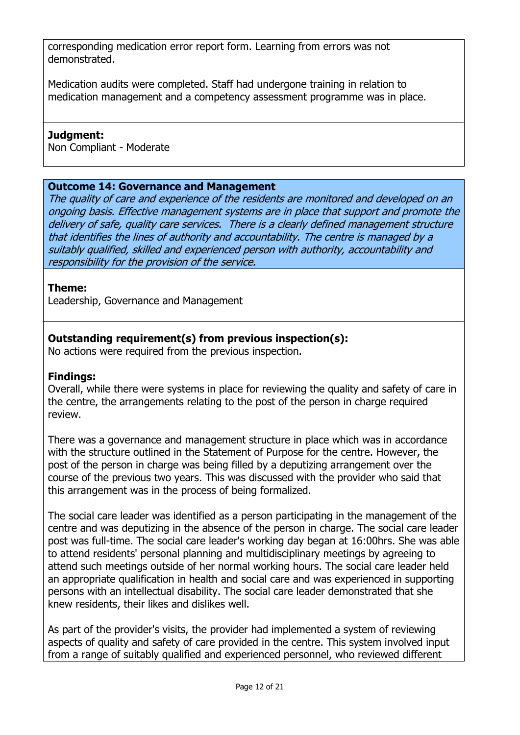corresponding medication error report form. Learning from errors was not demonstrated.

Medication audits were completed. Staff had undergone training in relation to medication management and a competency assessment programme was in place.

## **Judgment:**

Non Compliant - Moderate

# **Outcome 14: Governance and Management**

The quality of care and experience of the residents are monitored and developed on an ongoing basis. Effective management systems are in place that support and promote the delivery of safe, quality care services. There is a clearly defined management structure that identifies the lines of authority and accountability. The centre is managed by a suitably qualified, skilled and experienced person with authority, accountability and responsibility for the provision of the service.

# **Theme:**

Leadership, Governance and Management

# **Outstanding requirement(s) from previous inspection(s):**

No actions were required from the previous inspection.

# **Findings:**

Overall, while there were systems in place for reviewing the quality and safety of care in the centre, the arrangements relating to the post of the person in charge required review.

There was a governance and management structure in place which was in accordance with the structure outlined in the Statement of Purpose for the centre. However, the post of the person in charge was being filled by a deputizing arrangement over the course of the previous two years. This was discussed with the provider who said that this arrangement was in the process of being formalized.

The social care leader was identified as a person participating in the management of the centre and was deputizing in the absence of the person in charge. The social care leader post was full-time. The social care leader's working day began at 16:00hrs. She was able to attend residents' personal planning and multidisciplinary meetings by agreeing to attend such meetings outside of her normal working hours. The social care leader held an appropriate qualification in health and social care and was experienced in supporting persons with an intellectual disability. The social care leader demonstrated that she knew residents, their likes and dislikes well.

As part of the provider's visits, the provider had implemented a system of reviewing aspects of quality and safety of care provided in the centre. This system involved input from a range of suitably qualified and experienced personnel, who reviewed different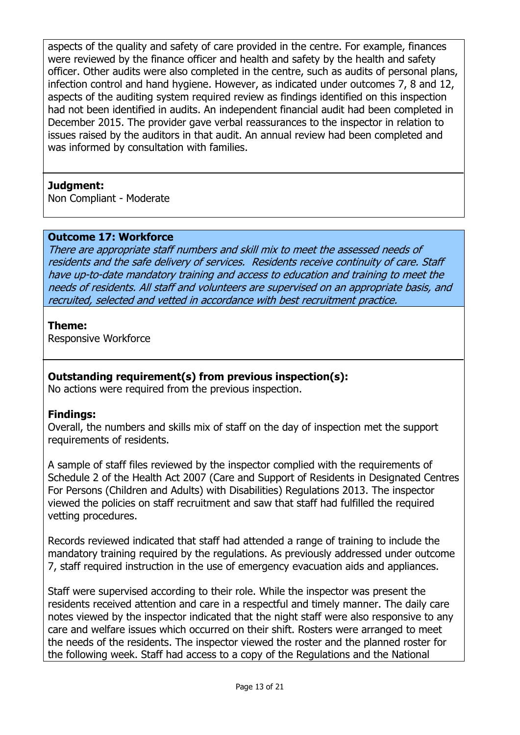aspects of the quality and safety of care provided in the centre. For example, finances were reviewed by the finance officer and health and safety by the health and safety officer. Other audits were also completed in the centre, such as audits of personal plans, infection control and hand hygiene. However, as indicated under outcomes 7, 8 and 12, aspects of the auditing system required review as findings identified on this inspection had not been identified in audits. An independent financial audit had been completed in December 2015. The provider gave verbal reassurances to the inspector in relation to issues raised by the auditors in that audit. An annual review had been completed and was informed by consultation with families.

## **Judgment:**

Non Compliant - Moderate

## **Outcome 17: Workforce**

There are appropriate staff numbers and skill mix to meet the assessed needs of residents and the safe delivery of services. Residents receive continuity of care. Staff have up-to-date mandatory training and access to education and training to meet the needs of residents. All staff and volunteers are supervised on an appropriate basis, and recruited, selected and vetted in accordance with best recruitment practice.

#### **Theme:**

Responsive Workforce

## **Outstanding requirement(s) from previous inspection(s):**

No actions were required from the previous inspection.

## **Findings:**

Overall, the numbers and skills mix of staff on the day of inspection met the support requirements of residents.

A sample of staff files reviewed by the inspector complied with the requirements of Schedule 2 of the Health Act 2007 (Care and Support of Residents in Designated Centres For Persons (Children and Adults) with Disabilities) Regulations 2013. The inspector viewed the policies on staff recruitment and saw that staff had fulfilled the required vetting procedures.

Records reviewed indicated that staff had attended a range of training to include the mandatory training required by the regulations. As previously addressed under outcome 7, staff required instruction in the use of emergency evacuation aids and appliances.

Staff were supervised according to their role. While the inspector was present the residents received attention and care in a respectful and timely manner. The daily care notes viewed by the inspector indicated that the night staff were also responsive to any care and welfare issues which occurred on their shift. Rosters were arranged to meet the needs of the residents. The inspector viewed the roster and the planned roster for the following week. Staff had access to a copy of the Regulations and the National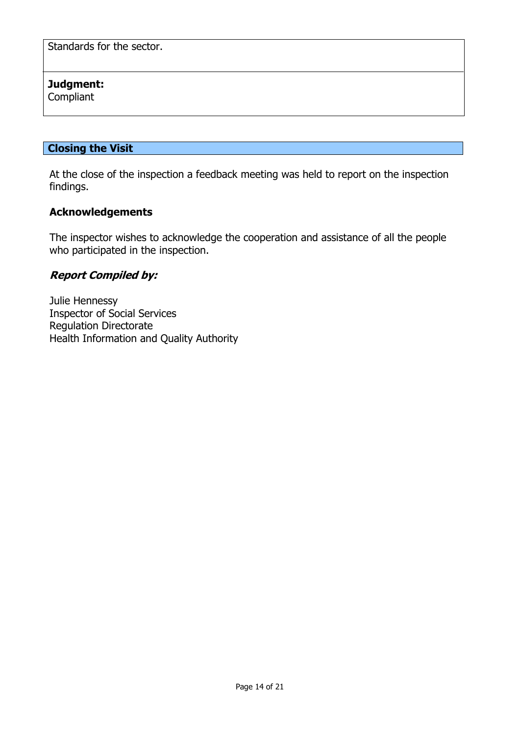Standards for the sector.

## **Judgment:**

Compliant

## **Closing the Visit**

At the close of the inspection a feedback meeting was held to report on the inspection findings.

## **Acknowledgements**

The inspector wishes to acknowledge the cooperation and assistance of all the people who participated in the inspection.

#### **Report Compiled by:**

Julie Hennessy Inspector of Social Services Regulation Directorate Health Information and Quality Authority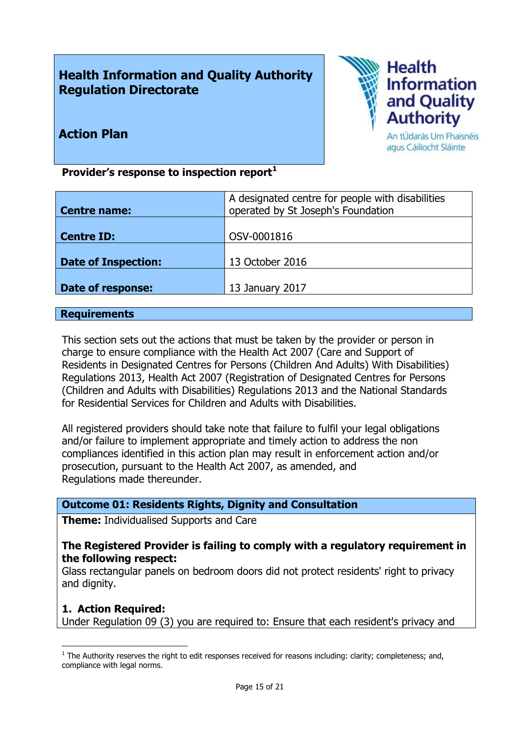# **Health Information and Quality Authority Regulation Directorate**



# **Action Plan**

An tÚdarás Um Fhaisnéis agus Cáilíocht Sláinte

**Provider's response to inspection report<sup>1</sup>**

| A designated centre for people with disabilities |
|--------------------------------------------------|
| operated by St Joseph's Foundation               |
|                                                  |
| OSV-0001816                                      |
|                                                  |
| 13 October 2016                                  |
|                                                  |
| 13 January 2017                                  |
|                                                  |

#### **Requirements**

This section sets out the actions that must be taken by the provider or person in charge to ensure compliance with the Health Act 2007 (Care and Support of Residents in Designated Centres for Persons (Children And Adults) With Disabilities) Regulations 2013, Health Act 2007 (Registration of Designated Centres for Persons (Children and Adults with Disabilities) Regulations 2013 and the National Standards for Residential Services for Children and Adults with Disabilities.

All registered providers should take note that failure to fulfil your legal obligations and/or failure to implement appropriate and timely action to address the non compliances identified in this action plan may result in enforcement action and/or prosecution, pursuant to the Health Act 2007, as amended, and Regulations made thereunder.

## **Outcome 01: Residents Rights, Dignity and Consultation**

**Theme:** Individualised Supports and Care

#### **The Registered Provider is failing to comply with a regulatory requirement in the following respect:**

Glass rectangular panels on bedroom doors did not protect residents' right to privacy and dignity.

## **1. Action Required:**

 $\overline{a}$ 

Under Regulation 09 (3) you are required to: Ensure that each resident's privacy and

 $<sup>1</sup>$  The Authority reserves the right to edit responses received for reasons including: clarity; completeness; and,</sup> compliance with legal norms.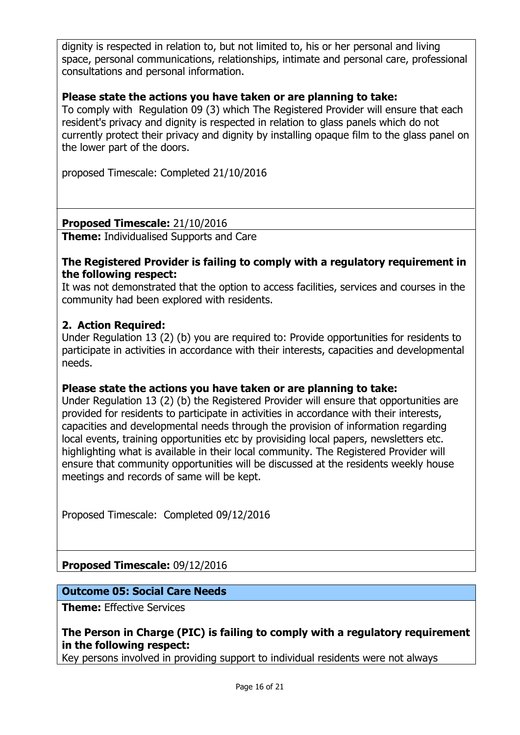dignity is respected in relation to, but not limited to, his or her personal and living space, personal communications, relationships, intimate and personal care, professional consultations and personal information.

# **Please state the actions you have taken or are planning to take:**

To comply with Regulation 09 (3) which The Registered Provider will ensure that each resident's privacy and dignity is respected in relation to glass panels which do not currently protect their privacy and dignity by installing opaque film to the glass panel on the lower part of the doors.

proposed Timescale: Completed 21/10/2016

## **Proposed Timescale:** 21/10/2016

**Theme:** Individualised Supports and Care

#### **The Registered Provider is failing to comply with a regulatory requirement in the following respect:**

It was not demonstrated that the option to access facilities, services and courses in the community had been explored with residents.

## **2. Action Required:**

Under Regulation 13 (2) (b) you are required to: Provide opportunities for residents to participate in activities in accordance with their interests, capacities and developmental needs.

## **Please state the actions you have taken or are planning to take:**

Under Regulation 13 (2) (b) the Registered Provider will ensure that opportunities are provided for residents to participate in activities in accordance with their interests, capacities and developmental needs through the provision of information regarding local events, training opportunities etc by provisiding local papers, newsletters etc. highlighting what is available in their local community. The Registered Provider will ensure that community opportunities will be discussed at the residents weekly house meetings and records of same will be kept.

Proposed Timescale: Completed 09/12/2016

**Proposed Timescale:** 09/12/2016

## **Outcome 05: Social Care Needs**

**Theme:** Effective Services

# **The Person in Charge (PIC) is failing to comply with a regulatory requirement in the following respect:**

Key persons involved in providing support to individual residents were not always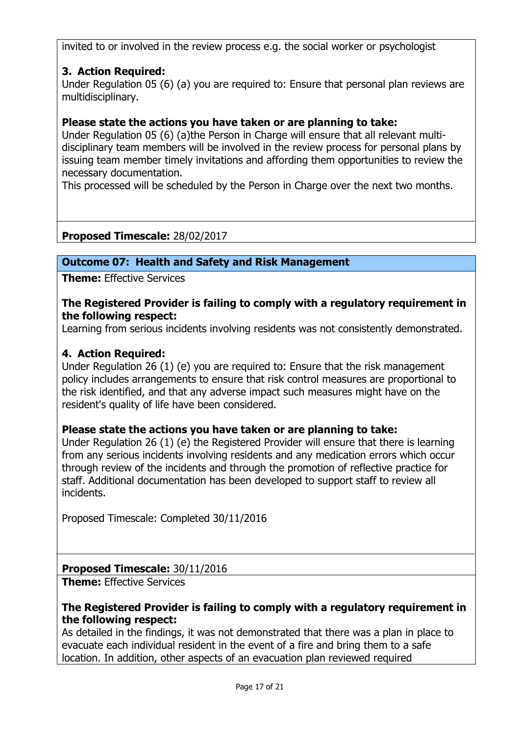invited to or involved in the review process e.g. the social worker or psychologist

# **3. Action Required:**

Under Regulation 05 (6) (a) you are required to: Ensure that personal plan reviews are multidisciplinary.

# **Please state the actions you have taken or are planning to take:**

Under Regulation 05 (6) (a)the Person in Charge will ensure that all relevant multidisciplinary team members will be involved in the review process for personal plans by issuing team member timely invitations and affording them opportunities to review the necessary documentation.

This processed will be scheduled by the Person in Charge over the next two months.

# **Proposed Timescale:** 28/02/2017

# **Outcome 07: Health and Safety and Risk Management**

**Theme:** Effective Services

## **The Registered Provider is failing to comply with a regulatory requirement in the following respect:**

Learning from serious incidents involving residents was not consistently demonstrated.

## **4. Action Required:**

Under Regulation 26 (1) (e) you are required to: Ensure that the risk management policy includes arrangements to ensure that risk control measures are proportional to the risk identified, and that any adverse impact such measures might have on the resident's quality of life have been considered.

## **Please state the actions you have taken or are planning to take:**

Under Regulation 26 (1) (e) the Registered Provider will ensure that there is learning from any serious incidents involving residents and any medication errors which occur through review of the incidents and through the promotion of reflective practice for staff. Additional documentation has been developed to support staff to review all incidents.

Proposed Timescale: Completed 30/11/2016

# **Proposed Timescale:** 30/11/2016

**Theme:** Effective Services

## **The Registered Provider is failing to comply with a regulatory requirement in the following respect:**

As detailed in the findings, it was not demonstrated that there was a plan in place to evacuate each individual resident in the event of a fire and bring them to a safe location. In addition, other aspects of an evacuation plan reviewed required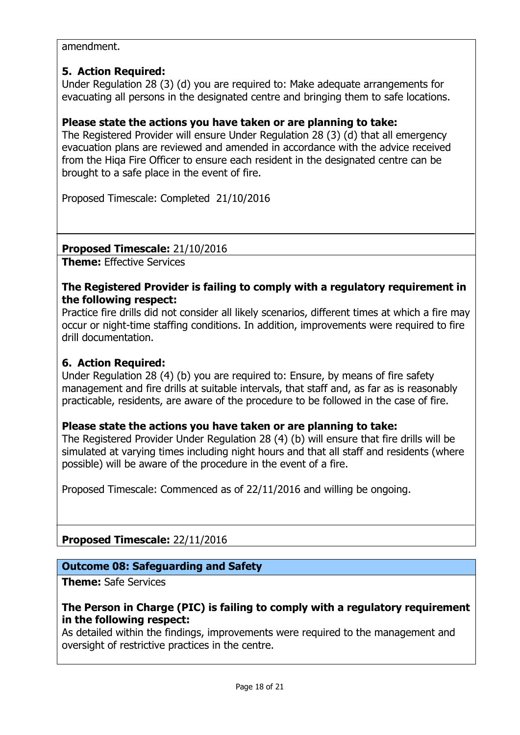#### amendment.

#### **5. Action Required:**

Under Regulation 28 (3) (d) you are required to: Make adequate arrangements for evacuating all persons in the designated centre and bringing them to safe locations.

#### **Please state the actions you have taken or are planning to take:**

The Registered Provider will ensure Under Regulation 28 (3) (d) that all emergency evacuation plans are reviewed and amended in accordance with the advice received from the Hiqa Fire Officer to ensure each resident in the designated centre can be brought to a safe place in the event of fire.

Proposed Timescale: Completed 21/10/2016

#### **Proposed Timescale:** 21/10/2016

**Theme:** Effective Services

#### **The Registered Provider is failing to comply with a regulatory requirement in the following respect:**

Practice fire drills did not consider all likely scenarios, different times at which a fire may occur or night-time staffing conditions. In addition, improvements were required to fire drill documentation.

#### **6. Action Required:**

Under Regulation 28 (4) (b) you are required to: Ensure, by means of fire safety management and fire drills at suitable intervals, that staff and, as far as is reasonably practicable, residents, are aware of the procedure to be followed in the case of fire.

#### **Please state the actions you have taken or are planning to take:**

The Registered Provider Under Regulation 28 (4) (b) will ensure that fire drills will be simulated at varying times including night hours and that all staff and residents (where possible) will be aware of the procedure in the event of a fire.

Proposed Timescale: Commenced as of 22/11/2016 and willing be ongoing.

**Proposed Timescale:** 22/11/2016

## **Outcome 08: Safeguarding and Safety**

**Theme:** Safe Services

## **The Person in Charge (PIC) is failing to comply with a regulatory requirement in the following respect:**

As detailed within the findings, improvements were required to the management and oversight of restrictive practices in the centre.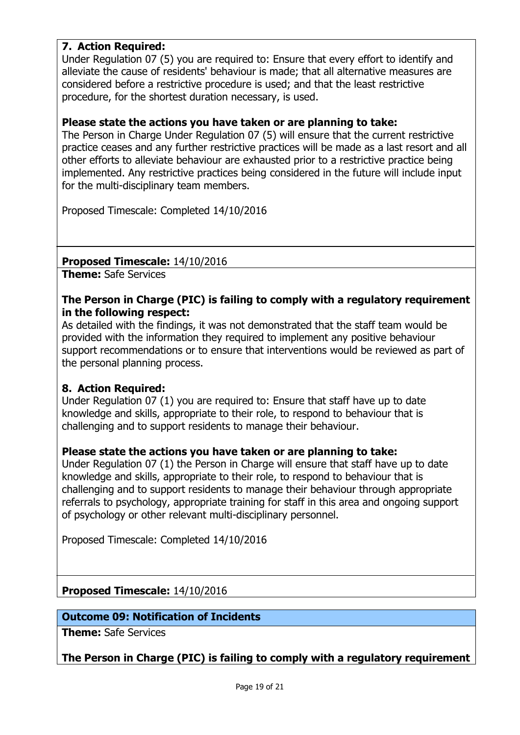# **7. Action Required:**

Under Regulation 07 (5) you are required to: Ensure that every effort to identify and alleviate the cause of residents' behaviour is made; that all alternative measures are considered before a restrictive procedure is used; and that the least restrictive procedure, for the shortest duration necessary, is used.

#### **Please state the actions you have taken or are planning to take:**

The Person in Charge Under Regulation 07 (5) will ensure that the current restrictive practice ceases and any further restrictive practices will be made as a last resort and all other efforts to alleviate behaviour are exhausted prior to a restrictive practice being implemented. Any restrictive practices being considered in the future will include input for the multi-disciplinary team members.

Proposed Timescale: Completed 14/10/2016

#### **Proposed Timescale:** 14/10/2016

**Theme:** Safe Services

#### **The Person in Charge (PIC) is failing to comply with a regulatory requirement in the following respect:**

As detailed with the findings, it was not demonstrated that the staff team would be provided with the information they required to implement any positive behaviour support recommendations or to ensure that interventions would be reviewed as part of the personal planning process.

## **8. Action Required:**

Under Regulation 07 (1) you are required to: Ensure that staff have up to date knowledge and skills, appropriate to their role, to respond to behaviour that is challenging and to support residents to manage their behaviour.

## **Please state the actions you have taken or are planning to take:**

Under Regulation 07 (1) the Person in Charge will ensure that staff have up to date knowledge and skills, appropriate to their role, to respond to behaviour that is challenging and to support residents to manage their behaviour through appropriate referrals to psychology, appropriate training for staff in this area and ongoing support of psychology or other relevant multi-disciplinary personnel.

Proposed Timescale: Completed 14/10/2016

#### **Proposed Timescale:** 14/10/2016

#### **Outcome 09: Notification of Incidents**

**Theme:** Safe Services

**The Person in Charge (PIC) is failing to comply with a regulatory requirement**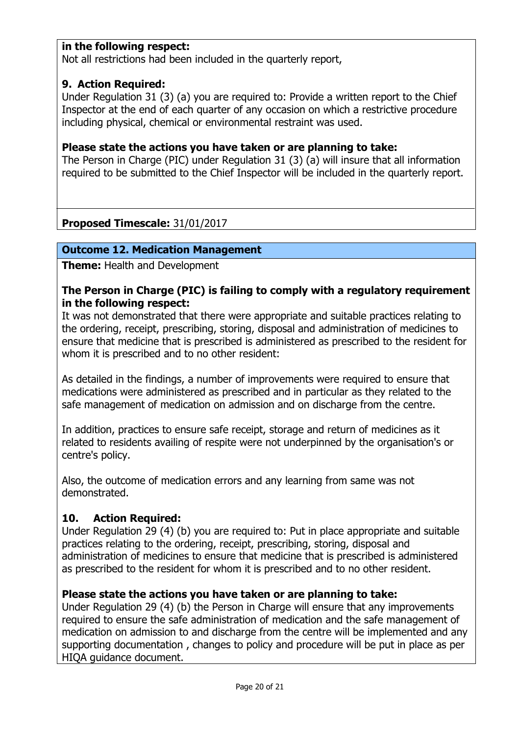## **in the following respect:**

Not all restrictions had been included in the quarterly report,

## **9. Action Required:**

Under Regulation 31 (3) (a) you are required to: Provide a written report to the Chief Inspector at the end of each quarter of any occasion on which a restrictive procedure including physical, chemical or environmental restraint was used.

## **Please state the actions you have taken or are planning to take:**

The Person in Charge (PIC) under Regulation 31 (3) (a) will insure that all information required to be submitted to the Chief Inspector will be included in the quarterly report.

# **Proposed Timescale:** 31/01/2017

# **Outcome 12. Medication Management**

**Theme:** Health and Development

## **The Person in Charge (PIC) is failing to comply with a regulatory requirement in the following respect:**

It was not demonstrated that there were appropriate and suitable practices relating to the ordering, receipt, prescribing, storing, disposal and administration of medicines to ensure that medicine that is prescribed is administered as prescribed to the resident for whom it is prescribed and to no other resident:

As detailed in the findings, a number of improvements were required to ensure that medications were administered as prescribed and in particular as they related to the safe management of medication on admission and on discharge from the centre.

In addition, practices to ensure safe receipt, storage and return of medicines as it related to residents availing of respite were not underpinned by the organisation's or centre's policy.

Also, the outcome of medication errors and any learning from same was not demonstrated.

# **10. Action Required:**

Under Regulation 29 (4) (b) you are required to: Put in place appropriate and suitable practices relating to the ordering, receipt, prescribing, storing, disposal and administration of medicines to ensure that medicine that is prescribed is administered as prescribed to the resident for whom it is prescribed and to no other resident.

## **Please state the actions you have taken or are planning to take:**

Under Regulation 29 (4) (b) the Person in Charge will ensure that any improvements required to ensure the safe administration of medication and the safe management of medication on admission to and discharge from the centre will be implemented and any supporting documentation , changes to policy and procedure will be put in place as per HIQA guidance document.